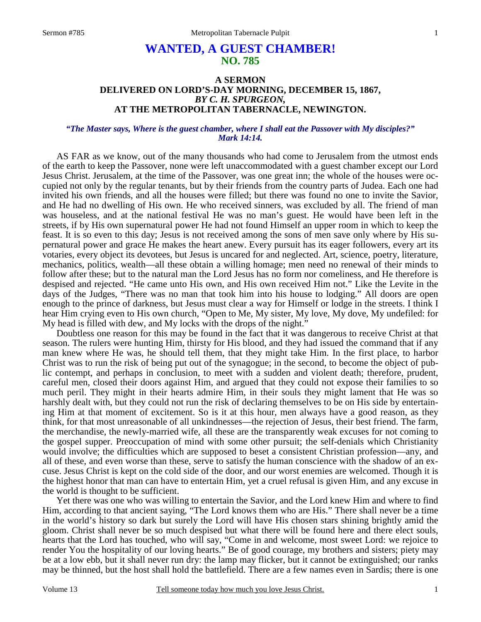# **WANTED, A GUEST CHAMBER! NO. 785**

### **A SERMON DELIVERED ON LORD'S-DAY MORNING, DECEMBER 15, 1867,** *BY C. H. SPURGEON,*  **AT THE METROPOLITAN TABERNACLE, NEWINGTON.**

#### *"The Master says, Where is the guest chamber, where I shall eat the Passover with My disciples?" Mark 14:14.*

 AS FAR as we know, out of the many thousands who had come to Jerusalem from the utmost ends of the earth to keep the Passover, none were left unaccommodated with a guest chamber except our Lord Jesus Christ. Jerusalem, at the time of the Passover, was one great inn; the whole of the houses were occupied not only by the regular tenants, but by their friends from the country parts of Judea. Each one had invited his own friends, and all the houses were filled; but there was found no one to invite the Savior, and He had no dwelling of His own. He who received sinners, was excluded by all. The friend of man was houseless, and at the national festival He was no man's guest. He would have been left in the streets, if by His own supernatural power He had not found Himself an upper room in which to keep the feast. It is so even to this day; Jesus is not received among the sons of men save only where by His supernatural power and grace He makes the heart anew. Every pursuit has its eager followers, every art its votaries, every object its devotees, but Jesus is uncared for and neglected. Art, science, poetry, literature, mechanics, politics, wealth—all these obtain a willing homage; men need no renewal of their minds to follow after these; but to the natural man the Lord Jesus has no form nor comeliness, and He therefore is despised and rejected. "He came unto His own, and His own received Him not." Like the Levite in the days of the Judges, "There was no man that took him into his house to lodging." All doors are open enough to the prince of darkness, but Jesus must clear a way for Himself or lodge in the streets. I think I hear Him crying even to His own church, "Open to Me, My sister, My love, My dove, My undefiled: for My head is filled with dew, and My locks with the drops of the night."

 Doubtless one reason for this may be found in the fact that it was dangerous to receive Christ at that season. The rulers were hunting Him, thirsty for His blood, and they had issued the command that if any man knew where He was, he should tell them, that they might take Him. In the first place, to harbor Christ was to run the risk of being put out of the synagogue; in the second, to become the object of public contempt, and perhaps in conclusion, to meet with a sudden and violent death; therefore, prudent, careful men, closed their doors against Him, and argued that they could not expose their families to so much peril. They might in their hearts admire Him, in their souls they might lament that He was so harshly dealt with, but they could not run the risk of declaring themselves to be on His side by entertaining Him at that moment of excitement. So is it at this hour, men always have a good reason, as they think, for that most unreasonable of all unkindnesses—the rejection of Jesus, their best friend. The farm, the merchandise, the newly-married wife, all these are the transparently weak excuses for not coming to the gospel supper. Preoccupation of mind with some other pursuit; the self-denials which Christianity would involve; the difficulties which are supposed to beset a consistent Christian profession—any, and all of these, and even worse than these, serve to satisfy the human conscience with the shadow of an excuse. Jesus Christ is kept on the cold side of the door, and our worst enemies are welcomed. Though it is the highest honor that man can have to entertain Him, yet a cruel refusal is given Him, and any excuse in the world is thought to be sufficient.

 Yet there was one who was willing to entertain the Savior, and the Lord knew Him and where to find Him, according to that ancient saying, "The Lord knows them who are His." There shall never be a time in the world's history so dark but surely the Lord will have His chosen stars shining brightly amid the gloom. Christ shall never be so much despised but what there will be found here and there elect souls, hearts that the Lord has touched, who will say, "Come in and welcome, most sweet Lord: we rejoice to render You the hospitality of our loving hearts." Be of good courage, my brothers and sisters; piety may be at a low ebb, but it shall never run dry: the lamp may flicker, but it cannot be extinguished; our ranks may be thinned, but the host shall hold the battlefield. There are a few names even in Sardis; there is one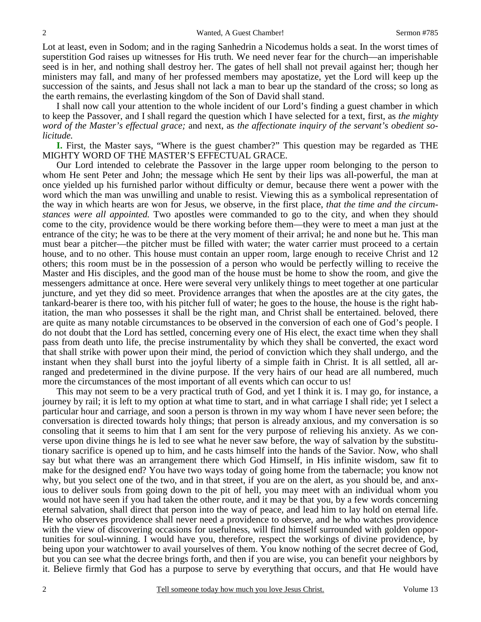Lot at least, even in Sodom; and in the raging Sanhedrin a Nicodemus holds a seat. In the worst times of superstition God raises up witnesses for His truth. We need never fear for the church—an imperishable seed is in her, and nothing shall destroy her. The gates of hell shall not prevail against her; though her ministers may fall, and many of her professed members may apostatize, yet the Lord will keep up the succession of the saints, and Jesus shall not lack a man to bear up the standard of the cross; so long as the earth remains, the everlasting kingdom of the Son of David shall stand.

 I shall now call your attention to the whole incident of our Lord's finding a guest chamber in which to keep the Passover, and I shall regard the question which I have selected for a text, first, as *the mighty word of the Master's effectual grace;* and next, as *the affectionate inquiry of the servant's obedient solicitude.*

**I.** First, the Master says, "Where is the guest chamber?" This question may be regarded as THE MIGHTY WORD OF THE MASTER'S EFFECTUAL GRACE.

 Our Lord intended to celebrate the Passover in the large upper room belonging to the person to whom He sent Peter and John; the message which He sent by their lips was all-powerful, the man at once yielded up his furnished parlor without difficulty or demur, because there went a power with the word which the man was unwilling and unable to resist. Viewing this as a symbolical representation of the way in which hearts are won for Jesus, we observe, in the first place, *that the time and the circumstances were all appointed.* Two apostles were commanded to go to the city, and when they should come to the city, providence would be there working before them—they were to meet a man just at the entrance of the city; he was to be there at the very moment of their arrival; he and none but he. This man must bear a pitcher—the pitcher must be filled with water; the water carrier must proceed to a certain house, and to no other. This house must contain an upper room, large enough to receive Christ and 12 others; this room must be in the possession of a person who would be perfectly willing to receive the Master and His disciples, and the good man of the house must be home to show the room, and give the messengers admittance at once. Here were several very unlikely things to meet together at one particular juncture, and yet they did so meet. Providence arranges that when the apostles are at the city gates, the tankard-bearer is there too, with his pitcher full of water; he goes to the house, the house is the right habitation, the man who possesses it shall be the right man, and Christ shall be entertained. beloved, there are quite as many notable circumstances to be observed in the conversion of each one of God's people. I do not doubt that the Lord has settled, concerning every one of His elect, the exact time when they shall pass from death unto life, the precise instrumentality by which they shall be converted, the exact word that shall strike with power upon their mind, the period of conviction which they shall undergo, and the instant when they shall burst into the joyful liberty of a simple faith in Christ. It is all settled, all arranged and predetermined in the divine purpose. If the very hairs of our head are all numbered, much more the circumstances of the most important of all events which can occur to us!

 This may not seem to be a very practical truth of God, and yet I think it is. I may go, for instance, a journey by rail; it is left to my option at what time to start, and in what carriage I shall ride; yet I select a particular hour and carriage, and soon a person is thrown in my way whom I have never seen before; the conversation is directed towards holy things; that person is already anxious, and my conversation is so consoling that it seems to him that I am sent for the very purpose of relieving his anxiety. As we converse upon divine things he is led to see what he never saw before, the way of salvation by the substitutionary sacrifice is opened up to him, and he casts himself into the hands of the Savior. Now, who shall say but what there was an arrangement there which God Himself, in His infinite wisdom, saw fit to make for the designed end? You have two ways today of going home from the tabernacle; you know not why, but you select one of the two, and in that street, if you are on the alert, as you should be, and anxious to deliver souls from going down to the pit of hell, you may meet with an individual whom you would not have seen if you had taken the other route, and it may be that you, by a few words concerning eternal salvation, shall direct that person into the way of peace, and lead him to lay hold on eternal life. He who observes providence shall never need a providence to observe, and he who watches providence with the view of discovering occasions for usefulness, will find himself surrounded with golden opportunities for soul-winning. I would have you, therefore, respect the workings of divine providence, by being upon your watchtower to avail yourselves of them. You know nothing of the secret decree of God, but you can see what the decree brings forth, and then if you are wise, you can benefit your neighbors by it. Believe firmly that God has a purpose to serve by everything that occurs, and that He would have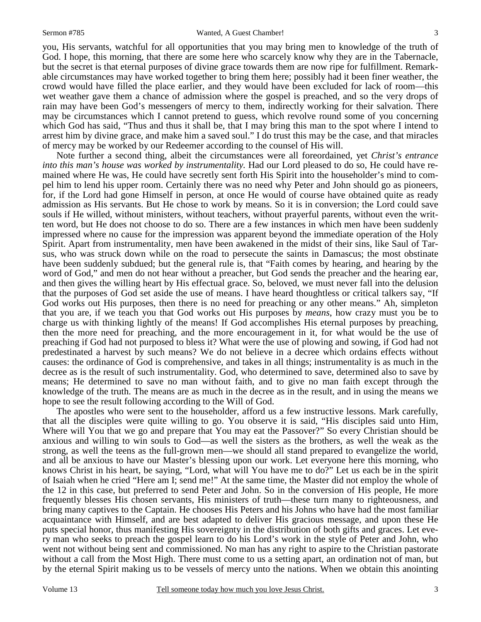you, His servants, watchful for all opportunities that you may bring men to knowledge of the truth of God. I hope, this morning, that there are some here who scarcely know why they are in the Tabernacle, but the secret is that eternal purposes of divine grace towards them are now ripe for fulfillment. Remarkable circumstances may have worked together to bring them here; possibly had it been finer weather, the crowd would have filled the place earlier, and they would have been excluded for lack of room—this wet weather gave them a chance of admission where the gospel is preached, and so the very drops of rain may have been God's messengers of mercy to them, indirectly working for their salvation. There may be circumstances which I cannot pretend to guess, which revolve round some of you concerning which God has said, "Thus and thus it shall be, that I may bring this man to the spot where I intend to arrest him by divine grace, and make him a saved soul." I do trust this may be the case, and that miracles of mercy may be worked by our Redeemer according to the counsel of His will.

 Note further a second thing, albeit the circumstances were all foreordained, yet *Christ's entrance into this man's house was worked by instrumentality.* Had our Lord pleased to do so, He could have remained where He was, He could have secretly sent forth His Spirit into the householder's mind to compel him to lend his upper room. Certainly there was no need why Peter and John should go as pioneers, for, if the Lord had gone Himself in person, at once He would of course have obtained quite as ready admission as His servants. But He chose to work by means. So it is in conversion; the Lord could save souls if He willed, without ministers, without teachers, without prayerful parents, without even the written word, but He does not choose to do so. There are a few instances in which men have been suddenly impressed where no cause for the impression was apparent beyond the immediate operation of the Holy Spirit. Apart from instrumentality, men have been awakened in the midst of their sins, like Saul of Tarsus, who was struck down while on the road to persecute the saints in Damascus; the most obstinate have been suddenly subdued; but the general rule is, that "Faith comes by hearing, and hearing by the word of God," and men do not hear without a preacher, but God sends the preacher and the hearing ear, and then gives the willing heart by His effectual grace. So, beloved, we must never fall into the delusion that the purposes of God set aside the use of means. I have heard thoughtless or critical talkers say, "If God works out His purposes, then there is no need for preaching or any other means." Ah, simpleton that you are, if we teach you that God works out His purposes by *means*, how crazy must you be to charge us with thinking lightly of the means! If God accomplishes His eternal purposes by preaching, then the more need for preaching, and the more encouragement in it, for what would be the use of preaching if God had not purposed to bless it? What were the use of plowing and sowing, if God had not predestinated a harvest by such means? We do not believe in a decree which ordains effects without causes: the ordinance of God is comprehensive, and takes in all things; instrumentality is as much in the decree as is the result of such instrumentality. God, who determined to save, determined also to save by means; He determined to save no man without faith, and to give no man faith except through the knowledge of the truth. The means are as much in the decree as in the result, and in using the means we hope to see the result following according to the Will of God.

 The apostles who were sent to the householder, afford us a few instructive lessons. Mark carefully, that all the disciples were quite willing to go. You observe it is said, "His disciples said unto Him, Where will You that we go and prepare that You may eat the Passover?" So every Christian should be anxious and willing to win souls to God—as well the sisters as the brothers, as well the weak as the strong, as well the teens as the full-grown men—we should all stand prepared to evangelize the world, and all be anxious to have our Master's blessing upon our work. Let everyone here this morning, who knows Christ in his heart, be saying, "Lord, what will You have me to do?" Let us each be in the spirit of Isaiah when he cried "Here am I; send me!" At the same time, the Master did not employ the whole of the 12 in this case, but preferred to send Peter and John. So in the conversion of His people, He more frequently blesses His chosen servants, His ministers of truth—these turn many to righteousness, and bring many captives to the Captain. He chooses His Peters and his Johns who have had the most familiar acquaintance with Himself, and are best adapted to deliver His gracious message, and upon these He puts special honor, thus manifesting His sovereignty in the distribution of both gifts and graces. Let every man who seeks to preach the gospel learn to do his Lord's work in the style of Peter and John, who went not without being sent and commissioned. No man has any right to aspire to the Christian pastorate without a call from the Most High. There must come to us a setting apart, an ordination not of man, but by the eternal Spirit making us to be vessels of mercy unto the nations. When we obtain this anointing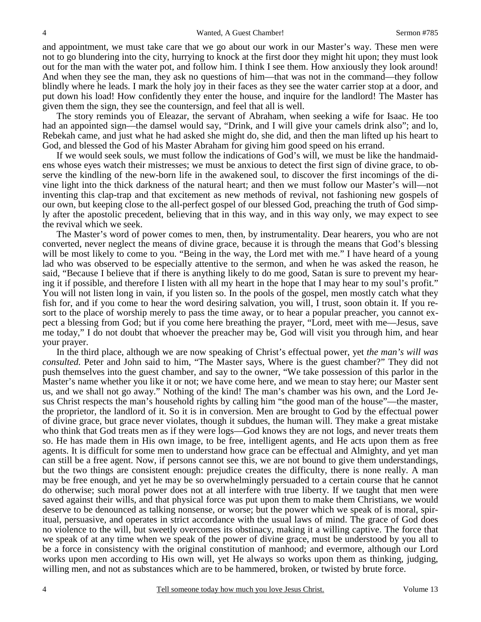and appointment, we must take care that we go about our work in our Master's way. These men were not to go blundering into the city, hurrying to knock at the first door they might hit upon; they must look out for the man with the water pot, and follow him. I think I see them. How anxiously they look around! And when they see the man, they ask no questions of him—that was not in the command—they follow blindly where he leads. I mark the holy joy in their faces as they see the water carrier stop at a door, and put down his load! How confidently they enter the house, and inquire for the landlord! The Master has given them the sign, they see the countersign, and feel that all is well.

 The story reminds you of Eleazar, the servant of Abraham, when seeking a wife for Isaac. He too had an appointed sign—the damsel would say, "Drink, and I will give your camels drink also"; and lo, Rebekah came, and just what he had asked she might do, she did, and then the man lifted up his heart to God, and blessed the God of his Master Abraham for giving him good speed on his errand.

 If we would seek souls, we must follow the indications of God's will, we must be like the handmaidens whose eyes watch their mistresses; we must be anxious to detect the first sign of divine grace, to observe the kindling of the new-born life in the awakened soul, to discover the first incomings of the divine light into the thick darkness of the natural heart; and then we must follow our Master's will—not inventing this clap-trap and that excitement as new methods of revival, not fashioning new gospels of our own, but keeping close to the all-perfect gospel of our blessed God, preaching the truth of God simply after the apostolic precedent, believing that in this way, and in this way only, we may expect to see the revival which we seek.

 The Master's word of power comes to men, then, by instrumentality. Dear hearers, you who are not converted, never neglect the means of divine grace, because it is through the means that God's blessing will be most likely to come to you. "Being in the way, the Lord met with me." I have heard of a young lad who was observed to be especially attentive to the sermon, and when he was asked the reason, he said, "Because I believe that if there is anything likely to do me good, Satan is sure to prevent my hearing it if possible, and therefore I listen with all my heart in the hope that I may hear to my soul's profit." You will not listen long in vain, if you listen so. In the pools of the gospel, men mostly catch what they fish for, and if you come to hear the word desiring salvation, you will, I trust, soon obtain it. If you resort to the place of worship merely to pass the time away, or to hear a popular preacher, you cannot expect a blessing from God; but if you come here breathing the prayer, "Lord, meet with me—Jesus, save me today," I do not doubt that whoever the preacher may be, God will visit you through him, and hear your prayer.

 In the third place, although we are now speaking of Christ's effectual power, yet *the man's will was consulted.* Peter and John said to him, "The Master says, Where is the guest chamber?" They did not push themselves into the guest chamber, and say to the owner, "We take possession of this parlor in the Master's name whether you like it or not; we have come here, and we mean to stay here; our Master sent us, and we shall not go away." Nothing of the kind! The man's chamber was his own, and the Lord Jesus Christ respects the man's household rights by calling him "the good man of the house"—the master, the proprietor, the landlord of it. So it is in conversion. Men are brought to God by the effectual power of divine grace, but grace never violates, though it subdues, the human will. They make a great mistake who think that God treats men as if they were logs—God knows they are not logs, and never treats them so. He has made them in His own image, to be free, intelligent agents, and He acts upon them as free agents. It is difficult for some men to understand how grace can be effectual and Almighty, and yet man can still be a free agent. Now, if persons cannot see this, we are not bound to give them understandings, but the two things are consistent enough: prejudice creates the difficulty, there is none really. A man may be free enough, and yet he may be so overwhelmingly persuaded to a certain course that he cannot do otherwise; such moral power does not at all interfere with true liberty. If we taught that men were saved against their wills, and that physical force was put upon them to make them Christians, we would deserve to be denounced as talking nonsense, or worse; but the power which we speak of is moral, spiritual, persuasive, and operates in strict accordance with the usual laws of mind. The grace of God does no violence to the will, but sweetly overcomes its obstinacy, making it a willing captive. The force that we speak of at any time when we speak of the power of divine grace, must be understood by you all to be a force in consistency with the original constitution of manhood; and evermore, although our Lord works upon men according to His own will, yet He always so works upon them as thinking, judging, willing men, and not as substances which are to be hammered, broken, or twisted by brute force.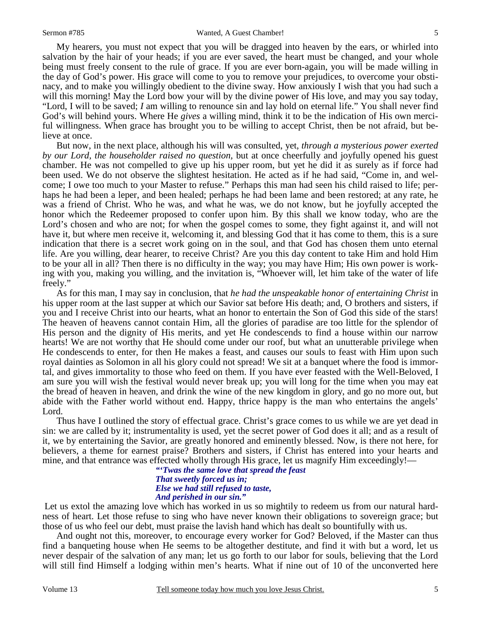My hearers, you must not expect that you will be dragged into heaven by the ears, or whirled into salvation by the hair of your heads; if you are ever saved, the heart must be changed, and your whole being must freely consent to the rule of grace. If you are ever born-again, you will be made willing in the day of God's power. His grace will come to you to remove your prejudices, to overcome your obstinacy, and to make you willingly obedient to the divine sway. How anxiously I wish that you had such a will this morning! May the Lord bow your will by the divine power of His love, and may you say today, "Lord, I will to be saved; *I* am willing to renounce sin and lay hold on eternal life." You shall never find God's will behind yours. Where He *gives* a willing mind, think it to be the indication of His own merciful willingness. When grace has brought you to be willing to accept Christ, then be not afraid, but believe at once.

 But now, in the next place, although his will was consulted, yet, *through a mysterious power exerted by our Lord, the householder raised no question,* but at once cheerfully and joyfully opened his guest chamber. He was not compelled to give up his upper room, but yet he did it as surely as if force had been used. We do not observe the slightest hesitation. He acted as if he had said, "Come in, and welcome; I owe too much to your Master to refuse." Perhaps this man had seen his child raised to life; perhaps he had been a leper, and been healed; perhaps he had been lame and been restored; at any rate, he was a friend of Christ. Who he was, and what he was, we do not know, but he joyfully accepted the honor which the Redeemer proposed to confer upon him. By this shall we know today, who are the Lord's chosen and who are not; for when the gospel comes to some, they fight against it, and will not have it, but where men receive it, welcoming it, and blessing God that it has come to them, this is a sure indication that there is a secret work going on in the soul, and that God has chosen them unto eternal life. Are you willing, dear hearer, to receive Christ? Are you this day content to take Him and hold Him to be your all in all? Then there is no difficulty in the way; you may have Him; His own power is working with you, making you willing, and the invitation is, "Whoever will, let him take of the water of life freely."

 As for this man, I may say in conclusion, that *he had the unspeakable honor of entertaining Christ* in his upper room at the last supper at which our Savior sat before His death; and, O brothers and sisters, if you and I receive Christ into our hearts, what an honor to entertain the Son of God this side of the stars! The heaven of heavens cannot contain Him, all the glories of paradise are too little for the splendor of His person and the dignity of His merits, and yet He condescends to find a house within our narrow hearts! We are not worthy that He should come under our roof, but what an unutterable privilege when He condescends to enter, for then He makes a feast, and causes our souls to feast with Him upon such royal dainties as Solomon in all his glory could not spread! We sit at a banquet where the food is immortal, and gives immortality to those who feed on them. If you have ever feasted with the Well-Beloved, I am sure you will wish the festival would never break up; you will long for the time when you may eat the bread of heaven in heaven, and drink the wine of the new kingdom in glory, and go no more out, but abide with the Father world without end. Happy, thrice happy is the man who entertains the angels' Lord.

 Thus have I outlined the story of effectual grace. Christ's grace comes to us while we are yet dead in sin: we are called by it; instrumentality is used, yet the secret power of God does it all; and as a result of it, we by entertaining the Savior, are greatly honored and eminently blessed. Now, is there not here, for believers, a theme for earnest praise? Brothers and sisters, if Christ has entered into your hearts and mine, and that entrance was effected wholly through His grace, let us magnify Him exceedingly!—

#### *"'Twas the same love that spread the feast That sweetly forced us in; Else we had still refused to taste, And perished in our sin."*

Let us extol the amazing love which has worked in us so mightily to redeem us from our natural hardness of heart. Let those refuse to sing who have never known their obligations to sovereign grace; but those of us who feel our debt, must praise the lavish hand which has dealt so bountifully with us.

 And ought not this, moreover, to encourage every worker for God? Beloved, if the Master can thus find a banqueting house when He seems to be altogether destitute, and find it with but a word, let us never despair of the salvation of any man; let us go forth to our labor for souls, believing that the Lord will still find Himself a lodging within men's hearts. What if nine out of 10 of the unconverted here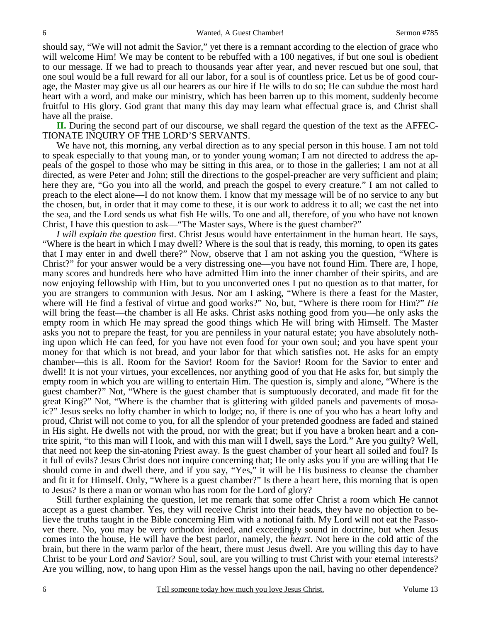should say, "We will not admit the Savior," yet there is a remnant according to the election of grace who will welcome Him! We may be content to be rebuffed with a 100 negatives, if but one soul is obedient to our message. If we had to preach to thousands year after year, and never rescued but one soul, that one soul would be a full reward for all our labor, for a soul is of countless price. Let us be of good courage, the Master may give us all our hearers as our hire if He wills to do so; He can subdue the most hard heart with a word, and make our ministry, which has been barren up to this moment, suddenly become fruitful to His glory. God grant that many this day may learn what effectual grace is, and Christ shall have all the praise.

**II.** During the second part of our discourse, we shall regard the question of the text as the AFFEC-TIONATE INQUIRY OF THE LORD'S SERVANTS.

 We have not, this morning, any verbal direction as to any special person in this house. I am not told to speak especially to that young man, or to yonder young woman; I am not directed to address the appeals of the gospel to those who may be sitting in this area, or to those in the galleries; I am not at all directed, as were Peter and John; still the directions to the gospel-preacher are very sufficient and plain; here they are, "Go you into all the world, and preach the gospel to every creature." I am not called to preach to the elect alone—I do not know them. I know that my message will be of no service to any but the chosen, but, in order that it may come to these, it is our work to address it to all; we cast the net into the sea, and the Lord sends us what fish He wills. To one and all, therefore, of you who have not known Christ, I have this question to ask—"The Master says, Where is the guest chamber?"

*I will explain the question* first. Christ Jesus would have entertainment in the human heart. He says, "Where is the heart in which I may dwell? Where is the soul that is ready, this morning, to open its gates that I may enter in and dwell there?" Now, observe that I am not asking you the question, "Where is Christ?" for your answer would be a very distressing one—you have not found Him. There are, I hope, many scores and hundreds here who have admitted Him into the inner chamber of their spirits, and are now enjoying fellowship with Him, but to you unconverted ones I put no question as to that matter, for you are strangers to communion with Jesus. Nor am I asking, "Where is there a feast for the Master, where will He find a festival of virtue and good works?" No, but, "Where is there room for Him?" *He* will bring the feast—the chamber is all He asks. Christ asks nothing good from you—he only asks the empty room in which He may spread the good things which He will bring with Himself. The Master asks you not to prepare the feast, for you are penniless in your natural estate; you have absolutely nothing upon which He can feed, for you have not even food for your own soul; and you have spent your money for that which is not bread, and your labor for that which satisfies not. He asks for an empty chamber—this is all. Room for the Savior! Room for the Savior! Room for the Savior to enter and dwell! It is not your virtues, your excellences, nor anything good of you that He asks for, but simply the empty room in which you are willing to entertain Him. The question is, simply and alone, "Where is the guest chamber?" Not, "Where is the guest chamber that is sumptuously decorated, and made fit for the great King?" Not, "Where is the chamber that is glittering with gilded panels and pavements of mosaic?" Jesus seeks no lofty chamber in which to lodge; no, if there is one of you who has a heart lofty and proud, Christ will not come to you, for all the splendor of your pretended goodness are faded and stained in His sight. He dwells not with the proud, nor with the great; but if you have a broken heart and a contrite spirit, "to this man will I look, and with this man will I dwell, says the Lord." Are you guilty? Well, that need not keep the sin-atoning Priest away. Is the guest chamber of your heart all soiled and foul? Is it full of evils? Jesus Christ does not inquire concerning that; He only asks you if you are willing that He should come in and dwell there, and if you say, "Yes," it will be His business to cleanse the chamber and fit it for Himself. Only, "Where is a guest chamber?" Is there a heart here, this morning that is open to Jesus? Is there a man or woman who has room for the Lord of glory?

 Still further explaining the question, let me remark that some offer Christ a room which He cannot accept as a guest chamber. Yes, they will receive Christ into their heads, they have no objection to believe the truths taught in the Bible concerning Him with a notional faith. My Lord will not eat the Passover there. No, you may be very orthodox indeed, and exceedingly sound in doctrine, but when Jesus comes into the house, He will have the best parlor, namely, the *heart*. Not here in the cold attic of the brain, but there in the warm parlor of the heart, there must Jesus dwell. Are you willing this day to have Christ to be your Lord *and* Savior? Soul, soul, are you willing to trust Christ with your eternal interests? Are you willing, now, to hang upon Him as the vessel hangs upon the nail, having no other dependence?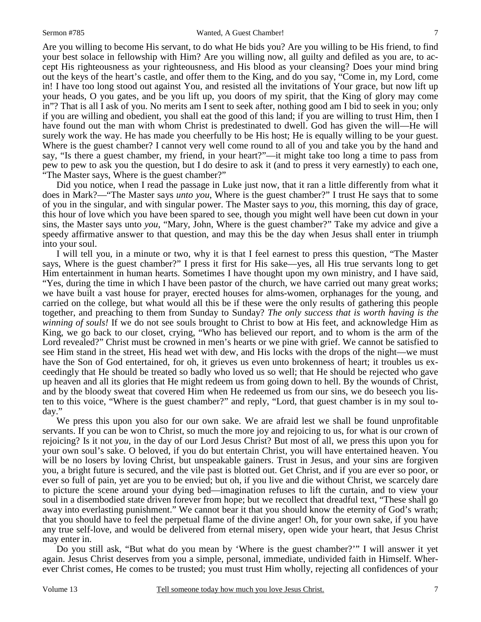Are you willing to become His servant, to do what He bids you? Are you willing to be His friend, to find your best solace in fellowship with Him? Are you willing now, all guilty and defiled as you are, to accept His righteousness as your righteousness, and His blood as your cleansing? Does your mind bring out the keys of the heart's castle, and offer them to the King, and do you say, "Come in, my Lord, come in! I have too long stood out against You, and resisted all the invitations of Your grace, but now lift up your heads, O you gates, and be you lift up, you doors of my spirit, that the King of glory may come in"? That is all I ask of you. No merits am I sent to seek after, nothing good am I bid to seek in you; only if you are willing and obedient, you shall eat the good of this land; if you are willing to trust Him, then I have found out the man with whom Christ is predestinated to dwell. God has given the will—He will surely work the way. He has made you cheerfully to be His host; He is equally willing to be your guest. Where is the guest chamber? I cannot very well come round to all of you and take you by the hand and say, "Is there a guest chamber, my friend, in your heart?"—it might take too long a time to pass from pew to pew to ask you the question, but I do desire to ask it (and to press it very earnestly) to each one, "The Master says, Where is the guest chamber?"

 Did you notice, when I read the passage in Luke just now, that it ran a little differently from what it does in Mark?—"The Master says *unto you*, Where is the guest chamber?" I trust He says that to some of you in the singular, and with singular power. The Master says to *you*, this morning, this day of grace, this hour of love which you have been spared to see, though you might well have been cut down in your sins, the Master says unto *you*, "Mary, John, Where is the guest chamber?" Take my advice and give a speedy affirmative answer to that question, and may this be the day when Jesus shall enter in triumph into your soul.

 I will tell you, in a minute or two, why it is that I feel earnest to press this question, "The Master says, Where is the guest chamber?" I press it first for His sake—yes, all His true servants long to get Him entertainment in human hearts. Sometimes I have thought upon my own ministry, and I have said, "Yes, during the time in which I have been pastor of the church, we have carried out many great works; we have built a vast house for prayer, erected houses for alms-women, orphanages for the young, and carried on the college, but what would all this be if these were the only results of gathering this people together, and preaching to them from Sunday to Sunday? *The only success that is worth having is the winning of souls!* If we do not see souls brought to Christ to bow at His feet, and acknowledge Him as King, we go back to our closet, crying, "Who has believed our report, and to whom is the arm of the Lord revealed?" Christ must be crowned in men's hearts or we pine with grief. We cannot be satisfied to see Him stand in the street, His head wet with dew, and His locks with the drops of the night—we must have the Son of God entertained, for oh, it grieves us even unto brokenness of heart; it troubles us exceedingly that He should be treated so badly who loved us so well; that He should be rejected who gave up heaven and all its glories that He might redeem us from going down to hell. By the wounds of Christ, and by the bloody sweat that covered Him when He redeemed us from our sins, we do beseech you listen to this voice, "Where is the guest chamber?" and reply, "Lord, that guest chamber is in my soul today."

 We press this upon you also for our own sake. We are afraid lest we shall be found unprofitable servants. If you can be won to Christ, so much the more joy and rejoicing to us, for what is our crown of rejoicing? Is it not *you*, in the day of our Lord Jesus Christ? But most of all, we press this upon you for your own soul's sake. O beloved, if you do but entertain Christ, you will have entertained heaven. You will be no losers by loving Christ, but unspeakable gainers. Trust in Jesus, and your sins are forgiven you, a bright future is secured, and the vile past is blotted out. Get Christ, and if you are ever so poor, or ever so full of pain, yet are you to be envied; but oh, if you live and die without Christ, we scarcely dare to picture the scene around your dying bed—imagination refuses to lift the curtain, and to view your soul in a disembodied state driven forever from hope; but we recollect that dreadful text, "These shall go away into everlasting punishment." We cannot bear it that you should know the eternity of God's wrath; that you should have to feel the perpetual flame of the divine anger! Oh, for your own sake, if you have any true self-love, and would be delivered from eternal misery, open wide your heart, that Jesus Christ may enter in.

 Do you still ask, "But what do you mean by 'Where is the guest chamber?'" I will answer it yet again. Jesus Christ deserves from you a simple, personal, immediate, undivided faith in Himself. Wherever Christ comes, He comes to be trusted; you must trust Him wholly, rejecting all confidences of your